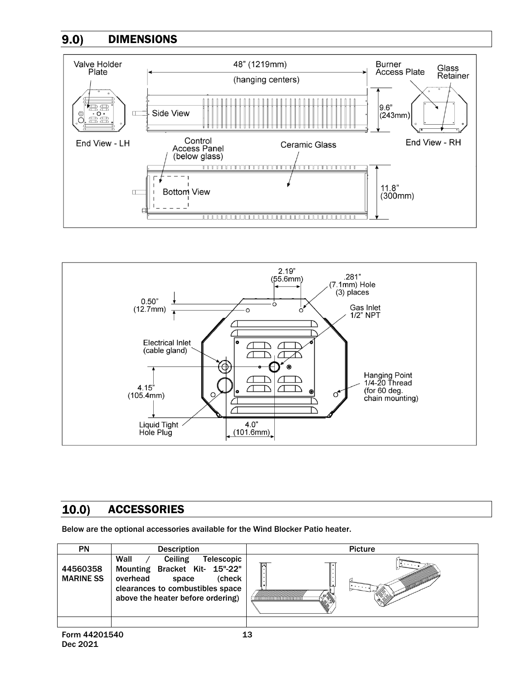## DIMENSIONS  $9.0)$





## $10.0)$ **ACCESSORIES**

Below are the optional accessories available for the Wind Blocker Patio heater.